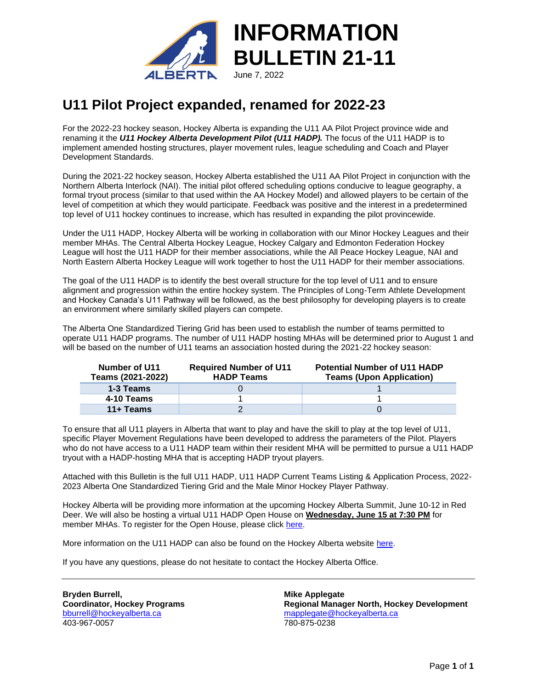

## **U11 Pilot Project expanded, renamed for 2022-23**

For the 2022-23 hockey season, Hockey Alberta is expanding the U11 AA Pilot Project province wide and renaming it the *U11 Hockey Alberta Development Pilot (U11 HADP).* The focus of the U11 HADP is to implement amended hosting structures, player movement rules, league scheduling and Coach and Player Development Standards.

During the 2021-22 hockey season, Hockey Alberta established the U11 AA Pilot Project in conjunction with the Northern Alberta Interlock (NAI). The initial pilot offered scheduling options conducive to league geography, a formal tryout process (similar to that used within the AA Hockey Model) and allowed players to be certain of the level of competition at which they would participate. Feedback was positive and the interest in a predetermined top level of U11 hockey continues to increase, which has resulted in expanding the pilot provincewide.

Under the U11 HADP, Hockey Alberta will be working in collaboration with our Minor Hockey Leagues and their member MHAs. The Central Alberta Hockey League, Hockey Calgary and Edmonton Federation Hockey League will host the U11 HADP for their member associations, while the All Peace Hockey League, NAI and North Eastern Alberta Hockey League will work together to host the U11 HADP for their member associations.

The goal of the U11 HADP is to identify the best overall structure for the top level of U11 and to ensure alignment and progression within the entire hockey system. The Principles of Long-Term Athlete Development and Hockey Canada's U11 Pathway will be followed, as the best philosophy for developing players is to create an environment where similarly skilled players can compete.

The Alberta One Standardized Tiering Grid has been used to establish the number of teams permitted to operate U11 HADP programs. The number of U11 HADP hosting MHAs will be determined prior to August 1 and will be based on the number of U11 teams an association hosted during the 2021-22 hockey season:

| Number of U11<br>Teams (2021-2022) | <b>Required Number of U11</b><br><b>HADP Teams</b> | <b>Potential Number of U11 HADP</b><br><b>Teams (Upon Application)</b> |
|------------------------------------|----------------------------------------------------|------------------------------------------------------------------------|
| 1-3 Teams                          |                                                    |                                                                        |
| 4-10 Teams                         |                                                    |                                                                        |
| $11 +$ Teams                       |                                                    |                                                                        |

To ensure that all U11 players in Alberta that want to play and have the skill to play at the top level of U11, specific Player Movement Regulations have been developed to address the parameters of the Pilot. Players who do not have access to a U11 HADP team within their resident MHA will be permitted to pursue a U11 HADP tryout with a HADP-hosting MHA that is accepting HADP tryout players.

Attached with this Bulletin is the full U11 HADP, U11 HADP Current Teams Listing & Application Process, 2022- 2023 Alberta One Standardized Tiering Grid and the Male Minor Hockey Player Pathway.

Hockey Alberta will be providing more information at the upcoming Hockey Alberta Summit, June 10-12 in Red Deer. We will also be hosting a virtual U11 HADP Open House on **Wednesday, June 15 at 7:30 PM** for member MHAs. To register for the Open House, please click [here.](https://us02web.zoom.us/meeting/register/tZIqd-Cppz4jG9bYebiol2DqZttuoHhdpPJv)

More information on the U11 HADP can also be found on the Hockey Alberta website [here.](https://www.hockeyalberta.ca/players/u11-pathway/u11-hadp/)

If you have any questions, please do not hesitate to contact the Hockey Alberta Office.

**Bryden Burrell, Coordinator, Hockey Programs** [bburrell@hockeyalberta.ca](mailto:bburrell@hockeyalberta.ca) 403-967-0057

**Mike Applegate Regional Manager North, Hockey Development** [mapplegate@hockeyalberta.ca](mailto:mapplegate@hockeyalberta.ca) 780-875-0238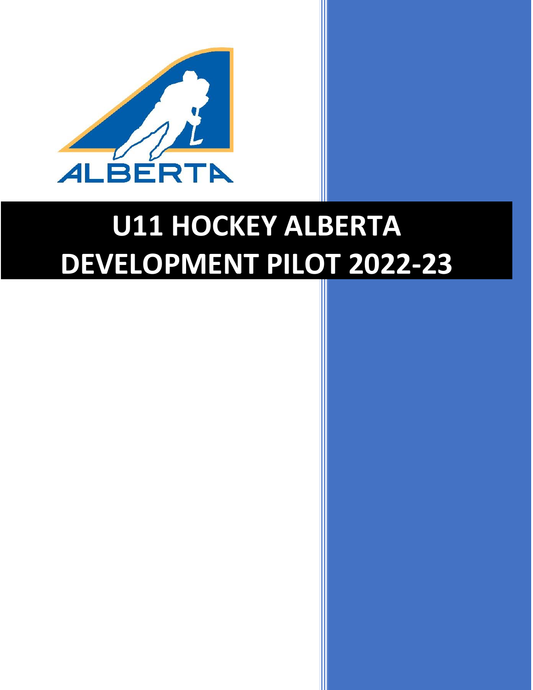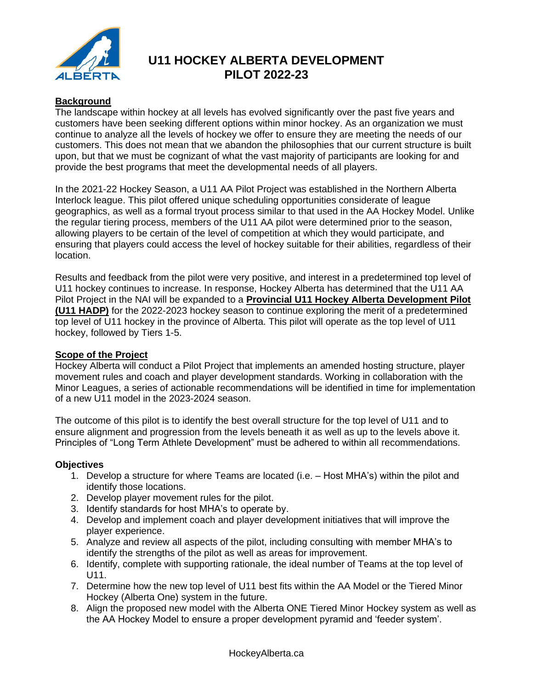

#### **Background**

The landscape within hockey at all levels has evolved significantly over the past five years and customers have been seeking different options within minor hockey. As an organization we must continue to analyze all the levels of hockey we offer to ensure they are meeting the needs of our customers. This does not mean that we abandon the philosophies that our current structure is built upon, but that we must be cognizant of what the vast majority of participants are looking for and provide the best programs that meet the developmental needs of all players.

In the 2021-22 Hockey Season, a U11 AA Pilot Project was established in the Northern Alberta Interlock league. This pilot offered unique scheduling opportunities considerate of league geographics, as well as a formal tryout process similar to that used in the AA Hockey Model. Unlike the regular tiering process, members of the U11 AA pilot were determined prior to the season, allowing players to be certain of the level of competition at which they would participate, and ensuring that players could access the level of hockey suitable for their abilities, regardless of their location.

Results and feedback from the pilot were very positive, and interest in a predetermined top level of U11 hockey continues to increase. In response, Hockey Alberta has determined that the U11 AA Pilot Project in the NAI will be expanded to a **Provincial U11 Hockey Alberta Development Pilot (U11 HADP)** for the 2022-2023 hockey season to continue exploring the merit of a predetermined top level of U11 hockey in the province of Alberta. This pilot will operate as the top level of U11 hockey, followed by Tiers 1-5.

#### **Scope of the Project**

Hockey Alberta will conduct a Pilot Project that implements an amended hosting structure, player movement rules and coach and player development standards. Working in collaboration with the Minor Leagues, a series of actionable recommendations will be identified in time for implementation of a new U11 model in the 2023-2024 season.

The outcome of this pilot is to identify the best overall structure for the top level of U11 and to ensure alignment and progression from the levels beneath it as well as up to the levels above it. Principles of "Long Term Athlete Development" must be adhered to within all recommendations.

#### **Objectives**

- 1. Develop a structure for where Teams are located (i.e. Host MHA's) within the pilot and identify those locations.
- 2. Develop player movement rules for the pilot.
- 3. Identify standards for host MHA's to operate by.
- 4. Develop and implement coach and player development initiatives that will improve the player experience.
- 5. Analyze and review all aspects of the pilot, including consulting with member MHA's to identify the strengths of the pilot as well as areas for improvement.
- 6. Identify, complete with supporting rationale, the ideal number of Teams at the top level of U11.
- 7. Determine how the new top level of U11 best fits within the AA Model or the Tiered Minor Hockey (Alberta One) system in the future.
- 8. Align the proposed new model with the Alberta ONE Tiered Minor Hockey system as well as the AA Hockey Model to ensure a proper development pyramid and 'feeder system'.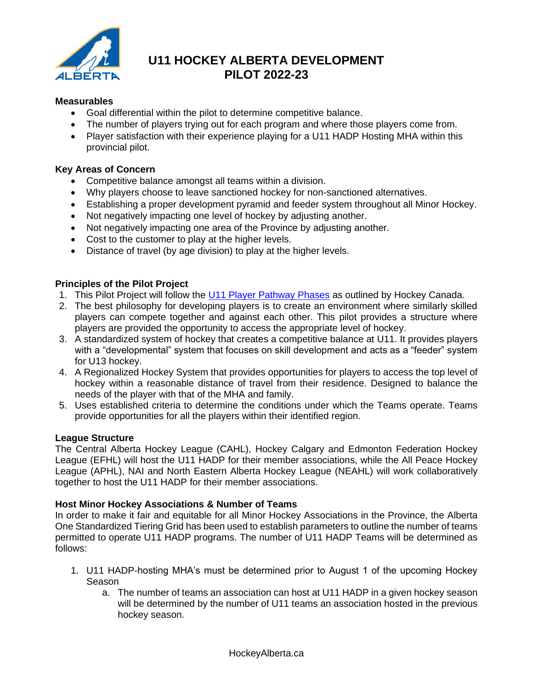

#### **Measurables**

- Goal differential within the pilot to determine competitive balance.
- The number of players trying out for each program and where those players come from.
- Player satisfaction with their experience playing for a U11 HADP Hosting MHA within this provincial pilot.

#### **Key Areas of Concern**

- Competitive balance amongst all teams within a division.
- Why players choose to leave sanctioned hockey for non-sanctioned alternatives.
- Establishing a proper development pyramid and feeder system throughout all Minor Hockey.
- Not negatively impacting one level of hockey by adjusting another.
- Not negatively impacting one area of the Province by adjusting another.
- Cost to the customer to play at the higher levels.
- Distance of travel (by age division) to play at the higher levels.

#### **Principles of the Pilot Project**

- 1. This Pilot Project will follow the [U11 Player Pathway Phases](https://www.hockeyalberta.ca/players/u11-pathway/) as outlined by Hockey Canada.
- 2. The best philosophy for developing players is to create an environment where similarly skilled players can compete together and against each other. This pilot provides a structure where players are provided the opportunity to access the appropriate level of hockey.
- 3. A standardized system of hockey that creates a competitive balance at U11. It provides players with a "developmental" system that focuses on skill development and acts as a "feeder" system for U13 hockey.
- 4. A Regionalized Hockey System that provides opportunities for players to access the top level of hockey within a reasonable distance of travel from their residence. Designed to balance the needs of the player with that of the MHA and family.
- 5. Uses established criteria to determine the conditions under which the Teams operate. Teams provide opportunities for all the players within their identified region.

#### **League Structure**

The Central Alberta Hockey League (CAHL), Hockey Calgary and Edmonton Federation Hockey League (EFHL) will host the U11 HADP for their member associations, while the All Peace Hockey League (APHL), NAI and North Eastern Alberta Hockey League (NEAHL) will work collaboratively together to host the U11 HADP for their member associations.

#### **Host Minor Hockey Associations & Number of Teams**

In order to make it fair and equitable for all Minor Hockey Associations in the Province, the Alberta One Standardized Tiering Grid has been used to establish parameters to outline the number of teams permitted to operate U11 HADP programs. The number of U11 HADP Teams will be determined as follows:

- 1. U11 HADP-hosting MHA's must be determined prior to August 1 of the upcoming Hockey Season
	- a. The number of teams an association can host at U11 HADP in a given hockey season will be determined by the number of U11 teams an association hosted in the previous hockey season.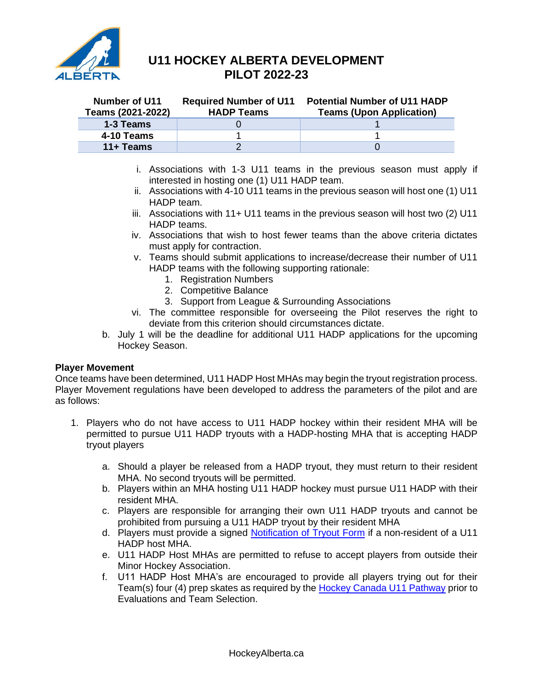

| <b>Number of U11</b><br>Teams (2021-2022) | <b>Required Number of U11</b><br><b>HADP Teams</b> | <b>Potential Number of U11 HADP</b><br><b>Teams (Upon Application)</b> |
|-------------------------------------------|----------------------------------------------------|------------------------------------------------------------------------|
| 1-3 Teams                                 |                                                    |                                                                        |
| 4-10 Teams                                |                                                    |                                                                        |
| 11+ Teams                                 |                                                    |                                                                        |

- i. Associations with 1-3 U11 teams in the previous season must apply if interested in hosting one (1) U11 HADP team.
- ii. Associations with 4-10 U11 teams in the previous season will host one (1) U11 HADP team.
- iii. Associations with 11+ U11 teams in the previous season will host two (2) U11 HADP teams.
- iv. Associations that wish to host fewer teams than the above criteria dictates must apply for contraction.
- v. Teams should submit applications to increase/decrease their number of U11 HADP teams with the following supporting rationale:
	- 1. Registration Numbers
	- 2. Competitive Balance
	- 3. Support from League & Surrounding Associations
- vi. The committee responsible for overseeing the Pilot reserves the right to deviate from this criterion should circumstances dictate.
- b. July 1 will be the deadline for additional U11 HADP applications for the upcoming Hockey Season.

#### **Player Movement**

Once teams have been determined, U11 HADP Host MHAs may begin the tryout registration process. Player Movement regulations have been developed to address the parameters of the pilot and are as follows:

- 1. Players who do not have access to U11 HADP hockey within their resident MHA will be permitted to pursue U11 HADP tryouts with a HADP-hosting MHA that is accepting HADP tryout players
	- a. Should a player be released from a HADP tryout, they must return to their resident MHA. No second tryouts will be permitted.
	- b. Players within an MHA hosting U11 HADP hockey must pursue U11 HADP with their resident MHA.
	- c. Players are responsible for arranging their own U11 HADP tryouts and cannot be prohibited from pursuing a U11 HADP tryout by their resident MHA
	- d. Players must provide a signed [Notification of Tryout Form](https://www.hockeyalberta.ca/u11-hadp-notification-tryout/) if a non-resident of a U11 HADP host MHA.
	- e. U11 HADP Host MHAs are permitted to refuse to accept players from outside their Minor Hockey Association.
	- f. U11 HADP Host MHA's are encouraged to provide all players trying out for their Team(s) four (4) prep skates as required by the [Hockey Canada U11 Pathway](https://www.hockeyalberta.ca/players/u11-pathway/) prior to Evaluations and Team Selection.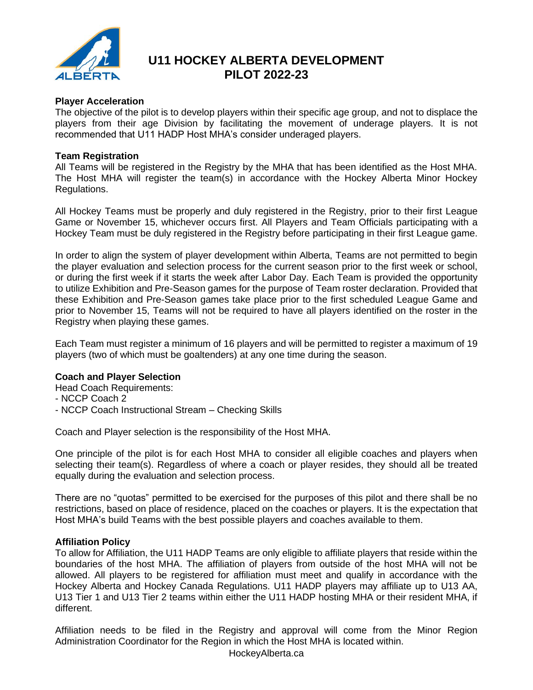

#### **Player Acceleration**

The objective of the pilot is to develop players within their specific age group, and not to displace the players from their age Division by facilitating the movement of underage players. It is not recommended that U11 HADP Host MHA's consider underaged players.

#### **Team Registration**

All Teams will be registered in the Registry by the MHA that has been identified as the Host MHA. The Host MHA will register the team(s) in accordance with the Hockey Alberta Minor Hockey Regulations.

All Hockey Teams must be properly and duly registered in the Registry, prior to their first League Game or November 15, whichever occurs first. All Players and Team Officials participating with a Hockey Team must be duly registered in the Registry before participating in their first League game.

In order to align the system of player development within Alberta, Teams are not permitted to begin the player evaluation and selection process for the current season prior to the first week or school, or during the first week if it starts the week after Labor Day. Each Team is provided the opportunity to utilize Exhibition and Pre-Season games for the purpose of Team roster declaration. Provided that these Exhibition and Pre-Season games take place prior to the first scheduled League Game and prior to November 15, Teams will not be required to have all players identified on the roster in the Registry when playing these games.

Each Team must register a minimum of 16 players and will be permitted to register a maximum of 19 players (two of which must be goaltenders) at any one time during the season.

#### **Coach and Player Selection**

Head Coach Requirements:

- NCCP Coach 2
- NCCP Coach Instructional Stream Checking Skills

Coach and Player selection is the responsibility of the Host MHA.

One principle of the pilot is for each Host MHA to consider all eligible coaches and players when selecting their team(s). Regardless of where a coach or player resides, they should all be treated equally during the evaluation and selection process.

There are no "quotas" permitted to be exercised for the purposes of this pilot and there shall be no restrictions, based on place of residence, placed on the coaches or players. It is the expectation that Host MHA's build Teams with the best possible players and coaches available to them.

#### **Affiliation Policy**

To allow for Affiliation, the U11 HADP Teams are only eligible to affiliate players that reside within the boundaries of the host MHA. The affiliation of players from outside of the host MHA will not be allowed. All players to be registered for affiliation must meet and qualify in accordance with the Hockey Alberta and Hockey Canada Regulations. U11 HADP players may affiliate up to U13 AA, U13 Tier 1 and U13 Tier 2 teams within either the U11 HADP hosting MHA or their resident MHA, if different.

Affiliation needs to be filed in the Registry and approval will come from the Minor Region Administration Coordinator for the Region in which the Host MHA is located within.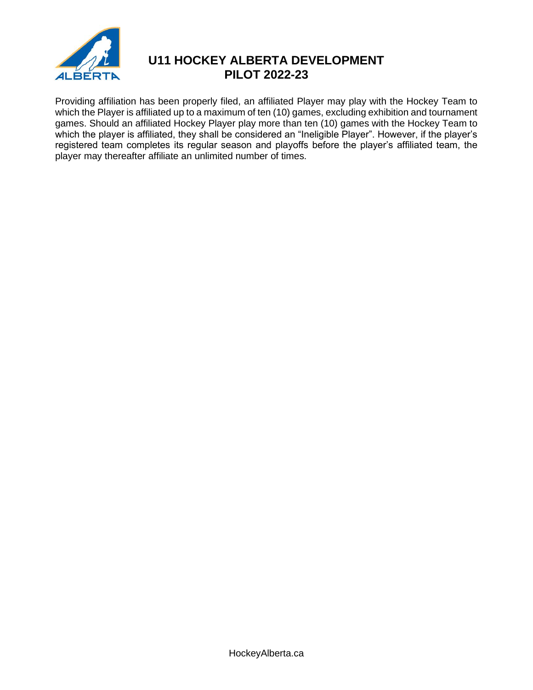

Providing affiliation has been properly filed, an affiliated Player may play with the Hockey Team to which the Player is affiliated up to a maximum of ten (10) games, excluding exhibition and tournament games. Should an affiliated Hockey Player play more than ten (10) games with the Hockey Team to which the player is affiliated, they shall be considered an "Ineligible Player". However, if the player's registered team completes its regular season and playoffs before the player's affiliated team, the player may thereafter affiliate an unlimited number of times.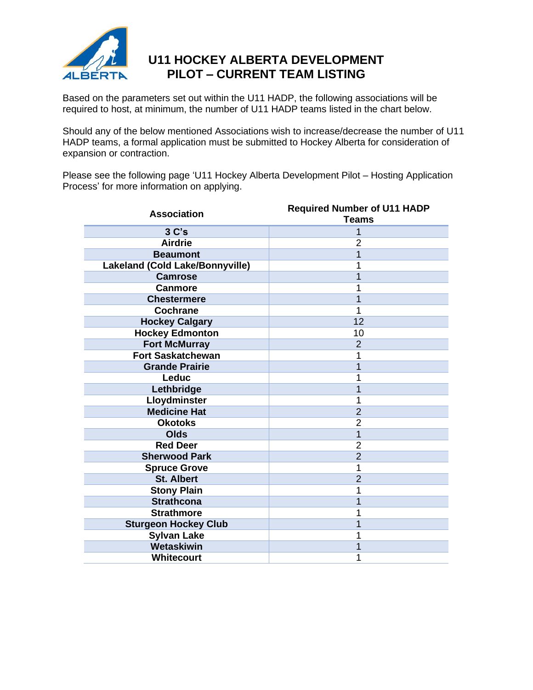

## **U11 HOCKEY ALBERTA DEVELOPMENT PILOT – CURRENT TEAM LISTING**

Based on the parameters set out within the U11 HADP, the following associations will be required to host, at minimum, the number of U11 HADP teams listed in the chart below.

Should any of the below mentioned Associations wish to increase/decrease the number of U11 HADP teams, a formal application must be submitted to Hockey Alberta for consideration of expansion or contraction.

Please see the following page 'U11 Hockey Alberta Development Pilot – Hosting Application Process' for more information on applying.

| <b>Association</b>              | <b>Required Number of U11 HADP</b><br><b>Teams</b> |  |  |
|---------------------------------|----------------------------------------------------|--|--|
| $3c$ 's                         | 1                                                  |  |  |
| <b>Airdrie</b>                  | $\overline{2}$                                     |  |  |
| <b>Beaumont</b>                 | 1                                                  |  |  |
| Lakeland (Cold Lake/Bonnyville) | 1                                                  |  |  |
| <b>Camrose</b>                  | 1                                                  |  |  |
| <b>Canmore</b>                  | 1                                                  |  |  |
| <b>Chestermere</b>              | 1                                                  |  |  |
| <b>Cochrane</b>                 | 1                                                  |  |  |
| <b>Hockey Calgary</b>           | 12                                                 |  |  |
| <b>Hockey Edmonton</b>          | 10                                                 |  |  |
| <b>Fort McMurray</b>            | $\overline{2}$                                     |  |  |
| <b>Fort Saskatchewan</b>        | 1                                                  |  |  |
| <b>Grande Prairie</b>           | 1                                                  |  |  |
| Leduc                           | 1                                                  |  |  |
| Lethbridge                      | 1                                                  |  |  |
| Lloydminster                    | 1                                                  |  |  |
| <b>Medicine Hat</b>             | $\overline{2}$                                     |  |  |
| <b>Okotoks</b>                  | $\overline{2}$                                     |  |  |
| Olds                            | $\overline{1}$                                     |  |  |
| <b>Red Deer</b>                 | $\overline{2}$                                     |  |  |
| <b>Sherwood Park</b>            | $\overline{2}$                                     |  |  |
| <b>Spruce Grove</b>             | 1                                                  |  |  |
| <b>St. Albert</b>               | $\overline{2}$                                     |  |  |
| <b>Stony Plain</b>              | 1                                                  |  |  |
| <b>Strathcona</b>               | $\overline{1}$                                     |  |  |
| <b>Strathmore</b>               | 1                                                  |  |  |
| <b>Sturgeon Hockey Club</b>     | 1                                                  |  |  |
| <b>Sylvan Lake</b>              | 1                                                  |  |  |
| Wetaskiwin                      | 1                                                  |  |  |
| Whitecourt                      | 1                                                  |  |  |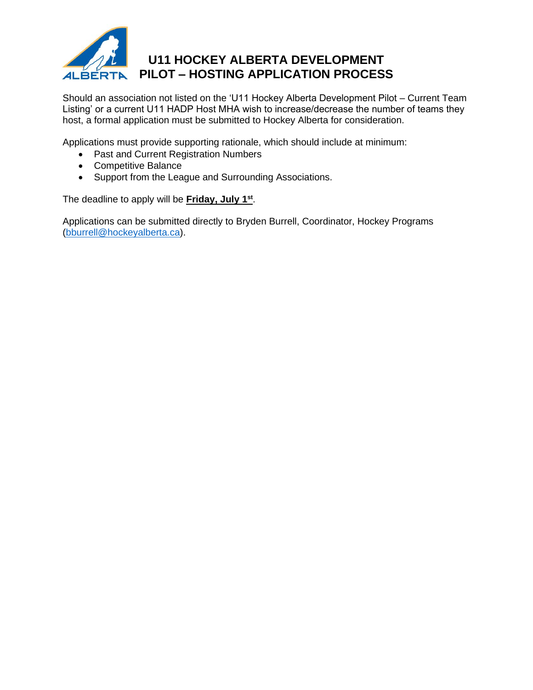

Should an association not listed on the 'U11 Hockey Alberta Development Pilot – Current Team Listing' or a current U11 HADP Host MHA wish to increase/decrease the number of teams they host, a formal application must be submitted to Hockey Alberta for consideration.

Applications must provide supporting rationale, which should include at minimum:

- Past and Current Registration Numbers
- Competitive Balance
- Support from the League and Surrounding Associations.

The deadline to apply will be **Friday, July 1st** .

Applications can be submitted directly to Bryden Burrell, Coordinator, Hockey Programs [\(bburrell@hockeyalberta.ca\)](mailto:bburrell@hockeyalberta.ca).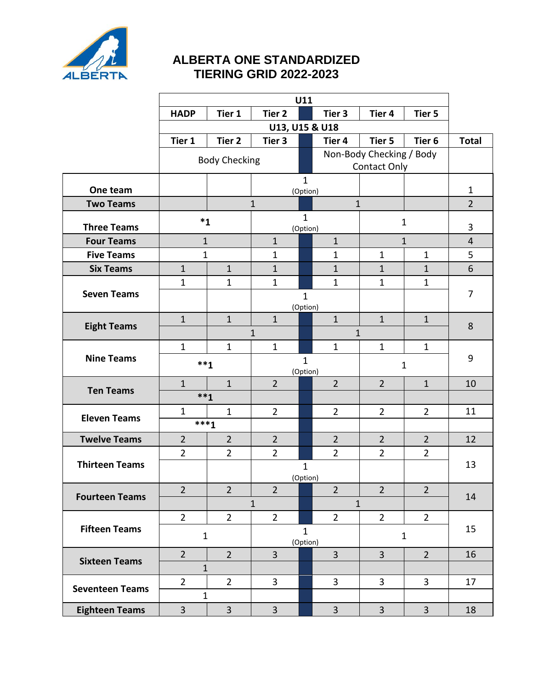

## **ALBERTA ONE STANDARDIZED TIERING GRID 2022-2023**

|                        | U11            |                        |                              |                          |                |                          |                   |                |
|------------------------|----------------|------------------------|------------------------------|--------------------------|----------------|--------------------------|-------------------|----------------|
|                        | <b>HADP</b>    | Tier 1                 | Tier <sub>2</sub>            |                          | Tier 3         | Tier <sub>4</sub>        | Tier 5            |                |
|                        | U13, U15 & U18 |                        |                              |                          |                |                          |                   |                |
|                        | Tier 1         | Tier 2                 | Tier 3                       |                          | Tier 4         | Tier 5                   | Tier <sub>6</sub> | <b>Total</b>   |
|                        |                | <b>Body Checking</b>   |                              |                          |                | Non-Body Checking / Body |                   |                |
|                        |                |                        |                              |                          |                | <b>Contact Only</b>      |                   |                |
| One team               |                |                        |                              | $\mathbf{1}$<br>(Option) |                |                          |                   | $\mathbf{1}$   |
| <b>Two Teams</b>       |                |                        | $\mathbf{1}$                 |                          | $\mathbf{1}$   |                          |                   | $\overline{2}$ |
|                        |                | $*_{1}$                |                              | $\mathbf{1}$             |                |                          |                   |                |
| <b>Three Teams</b>     |                |                        | (Option)                     |                          | $\mathbf 1$    |                          | 3                 |                |
| <b>Four Teams</b>      |                | $\mathbf{1}$           | $\mathbf{1}$                 |                          | $\mathbf{1}$   |                          | $\mathbf{1}$      | $\overline{4}$ |
| <b>Five Teams</b>      |                | 1                      | 1                            |                          | 1              | 1                        | 1                 | 5              |
| <b>Six Teams</b>       | $\mathbf{1}$   | $\mathbf{1}$           | $\mathbf{1}$                 |                          | $\mathbf{1}$   | $\mathbf{1}$             | $\mathbf{1}$      | 6              |
| <b>Seven Teams</b>     | $\mathbf{1}$   | $\mathbf{1}$           | $\mathbf{1}$                 |                          | $\mathbf{1}$   | $\mathbf{1}$             | $\mathbf{1}$      | 7              |
|                        |                |                        |                              | $\mathbf{1}$<br>(Option) |                |                          |                   |                |
|                        | $\mathbf{1}$   | $\mathbf{1}$           | $\mathbf{1}$                 |                          | $\mathbf{1}$   | $\mathbf{1}$             | $\mathbf{1}$      |                |
| <b>Eight Teams</b>     |                |                        | $\mathbf{1}$                 |                          | $\mathbf{1}$   |                          |                   | 8              |
|                        | $\mathbf{1}$   | $\mathbf{1}$           | $\mathbf{1}$                 |                          | $\mathbf{1}$   | $\mathbf{1}$             | $\mathbf{1}$      |                |
| <b>Nine Teams</b>      | $***1$         |                        | $\mathbf{1}$                 |                          | $\mathbf 1$    |                          | 9                 |                |
|                        |                |                        |                              | (Option)                 |                |                          |                   |                |
| <b>Ten Teams</b>       | $\mathbf{1}$   | $\mathbf{1}$<br>$***1$ | $\overline{2}$               |                          | $\overline{2}$ | $\overline{2}$           | $\mathbf{1}$      | 10             |
|                        | $\mathbf{1}$   | $\mathbf{1}$           | $\overline{2}$               |                          | $\overline{2}$ | $\overline{2}$           | $\overline{2}$    | 11             |
| <b>Eleven Teams</b>    |                | $***1$                 |                              |                          |                |                          |                   |                |
| <b>Twelve Teams</b>    | $\overline{2}$ | $\overline{2}$         | $\overline{2}$               |                          | $\overline{2}$ | $\overline{2}$           | $\overline{2}$    | 12             |
|                        | $\overline{2}$ | $\overline{2}$         | $\overline{2}$               |                          | $\overline{2}$ | $\overline{2}$           | $\overline{2}$    |                |
| <b>Thirteen Teams</b>  |                |                        |                              | $\mathbf{1}$             |                |                          |                   | 13             |
|                        |                |                        | (Option)                     |                          |                |                          |                   |                |
| <b>Fourteen Teams</b>  | $\overline{2}$ | $\overline{2}$         | $\overline{2}$               |                          | $\overline{2}$ | $\overline{2}$           | $\overline{2}$    | 14             |
|                        |                |                        | $\mathbf{1}$<br>$\mathbf{1}$ |                          |                |                          |                   |                |
|                        | $\overline{2}$ | $\overline{2}$         | $\overline{2}$               |                          | $\overline{2}$ | $\overline{2}$           | $\overline{2}$    |                |
| <b>Fifteen Teams</b>   |                | $\mathbf{1}$           |                              | $\mathbf{1}$             |                |                          | $\mathbf{1}$      | 15             |
|                        | $\overline{2}$ | $\overline{2}$         | 3                            | (Option)                 | $\overline{3}$ | $\overline{3}$           | $\overline{2}$    | 16             |
| <b>Sixteen Teams</b>   |                | $\mathbf{1}$           |                              |                          |                |                          |                   |                |
|                        | $\overline{2}$ | $2^{\circ}$            | $\overline{3}$               |                          | $\overline{3}$ | $\overline{3}$           | $\overline{3}$    | 17             |
| <b>Seventeen Teams</b> |                | $\mathbf{1}$           |                              |                          |                |                          |                   |                |
| <b>Eighteen Teams</b>  | $\overline{3}$ | $\overline{3}$         | $\overline{3}$               |                          | $\overline{3}$ | $\overline{3}$           | $\overline{3}$    | 18             |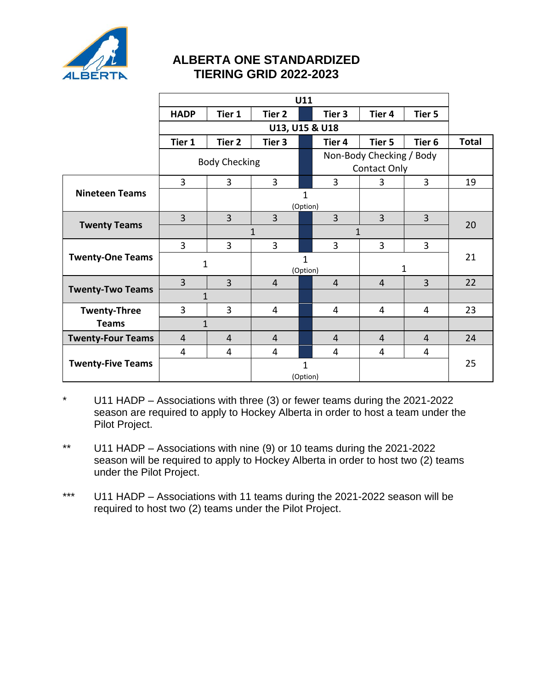

## **ALBERTA ONE STANDARDIZED TIERING GRID 2022-2023**

|                          | U11                  |                |                              |                     |                |                          |                   |              |
|--------------------------|----------------------|----------------|------------------------------|---------------------|----------------|--------------------------|-------------------|--------------|
|                          | <b>HADP</b>          | Tier 1         | Tier 2                       |                     | Tier 3         | Tier <sub>4</sub>        | Tier 5            |              |
|                          |                      |                | U13, U15 & U18               |                     |                |                          |                   |              |
|                          | Tier 1               | Tier 2         | Tier 3                       |                     | Tier 4         | Tier 5                   | Tier <sub>6</sub> | <b>Total</b> |
|                          |                      |                |                              |                     |                | Non-Body Checking / Body |                   |              |
|                          | <b>Body Checking</b> |                |                              | <b>Contact Only</b> |                |                          |                   |              |
|                          | $\overline{3}$       | 3              | $\overline{3}$               |                     | $\overline{3}$ | 3                        | $\overline{3}$    | 19           |
| <b>Nineteen Teams</b>    |                      |                |                              | $\mathbf{1}$        |                |                          |                   |              |
|                          |                      |                |                              | (Option)            |                |                          |                   |              |
|                          | $\overline{3}$       | $\overline{3}$ | $\overline{3}$               |                     | $\overline{3}$ | $\overline{3}$           | $\overline{3}$    | 20           |
| <b>Twenty Teams</b>      |                      |                | $\mathbf{1}$<br>$\mathbf{1}$ |                     |                |                          |                   |              |
|                          | 3                    | $\overline{3}$ | 3                            |                     | 3              | 3                        | 3                 |              |
| <b>Twenty-One Teams</b>  |                      | $\mathbf{1}$   |                              | $\mathbf{1}$        |                |                          |                   | 21           |
|                          |                      |                | (Option)                     |                     | $\mathbf{1}$   |                          |                   |              |
| <b>Twenty-Two Teams</b>  | $\overline{3}$       | $\overline{3}$ | $\overline{4}$               |                     | $\overline{4}$ | $\overline{4}$           | $\overline{3}$    | 22           |
|                          | $\mathbf{1}$         |                |                              |                     |                |                          |                   |              |
| <b>Twenty-Three</b>      | 3                    | $\overline{3}$ | 4                            |                     | 4              | 4                        | 4                 | 23           |
| <b>Teams</b>             | $\mathbf{1}$         |                |                              |                     |                |                          |                   |              |
| <b>Twenty-Four Teams</b> | $\overline{4}$       | $\overline{4}$ | $\overline{4}$               |                     | $\overline{4}$ | $\overline{4}$           | $\overline{4}$    | 24           |
|                          | 4                    | 4              | 4                            |                     | 4              | 4                        | 4                 |              |
| <b>Twenty-Five Teams</b> |                      |                | $\overline{1}$               |                     |                |                          |                   | 25           |
|                          |                      | (Option)       |                              |                     |                |                          |                   |              |

\* U11 HADP – Associations with three (3) or fewer teams during the 2021-2022 season are required to apply to Hockey Alberta in order to host a team under the Pilot Project.

\*\* U11 HADP – Associations with nine (9) or 10 teams during the 2021-2022 season will be required to apply to Hockey Alberta in order to host two (2) teams under the Pilot Project.

\*\*\* U11 HADP – Associations with 11 teams during the 2021-2022 season will be required to host two (2) teams under the Pilot Project.